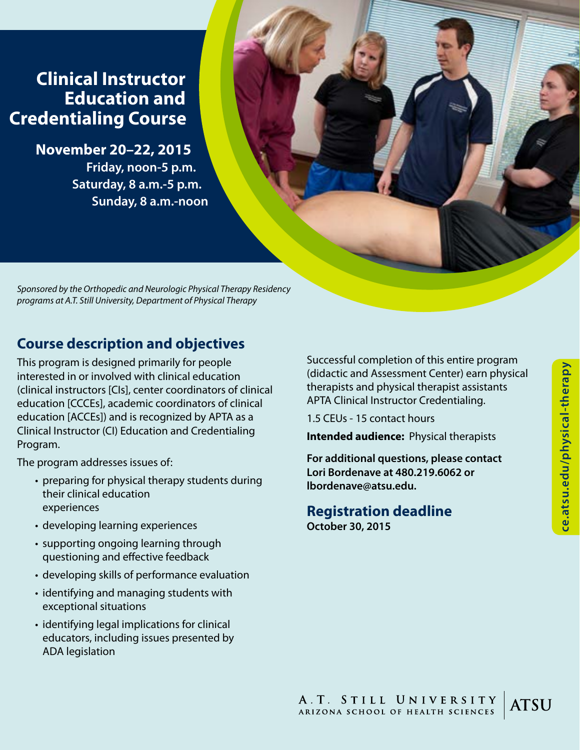## **Clinical Instructor Education and Credentialing Course**

**November 20–22, 2015 Friday, noon-5 p.m. Saturday, 8 a.m.-5 p.m. Sunday, 8 a.m.-noon**

*Sponsored by the Orthopedic and Neurologic Physical Therapy Residency programs at A.T. Still University, Department of Physical Therapy*

## **Course description and objectives**

This program is designed primarily for people interested in or involved with clinical education (clinical instructors [CIs], center coordinators of clinical education [CCCEs], academic coordinators of clinical education [ACCEs]) and is recognized by APTA as a Clinical Instructor (CI) Education and Credentialing Program.

The program addresses issues of:

- preparing for physical therapy students during their clinical education experiences
- developing learning experiences
- supporting ongoing learning through questioning and effective feedback
- developing skills of performance evaluation
- identifying and managing students with exceptional situations
- identifying legal implications for clinical educators, including issues presented by ADA legislation

Successful completion of this entire program (didactic and Assessment Center) earn physical therapists and physical therapist assistants APTA Clinical Instructor Credentialing.

1.5 CEUs - 15 contact hours

**Intended audience:** Physical therapists

**For additional questions, please contact Lori Bordenave at 480.219.6062 or lbordenave@atsu.edu.**

# **Registration deadline**

**October 30, 2015**

A.T. STILL UNIVERSITY **ATSU** ARIZONA SCHOOL OF HEALTH SCIENCES